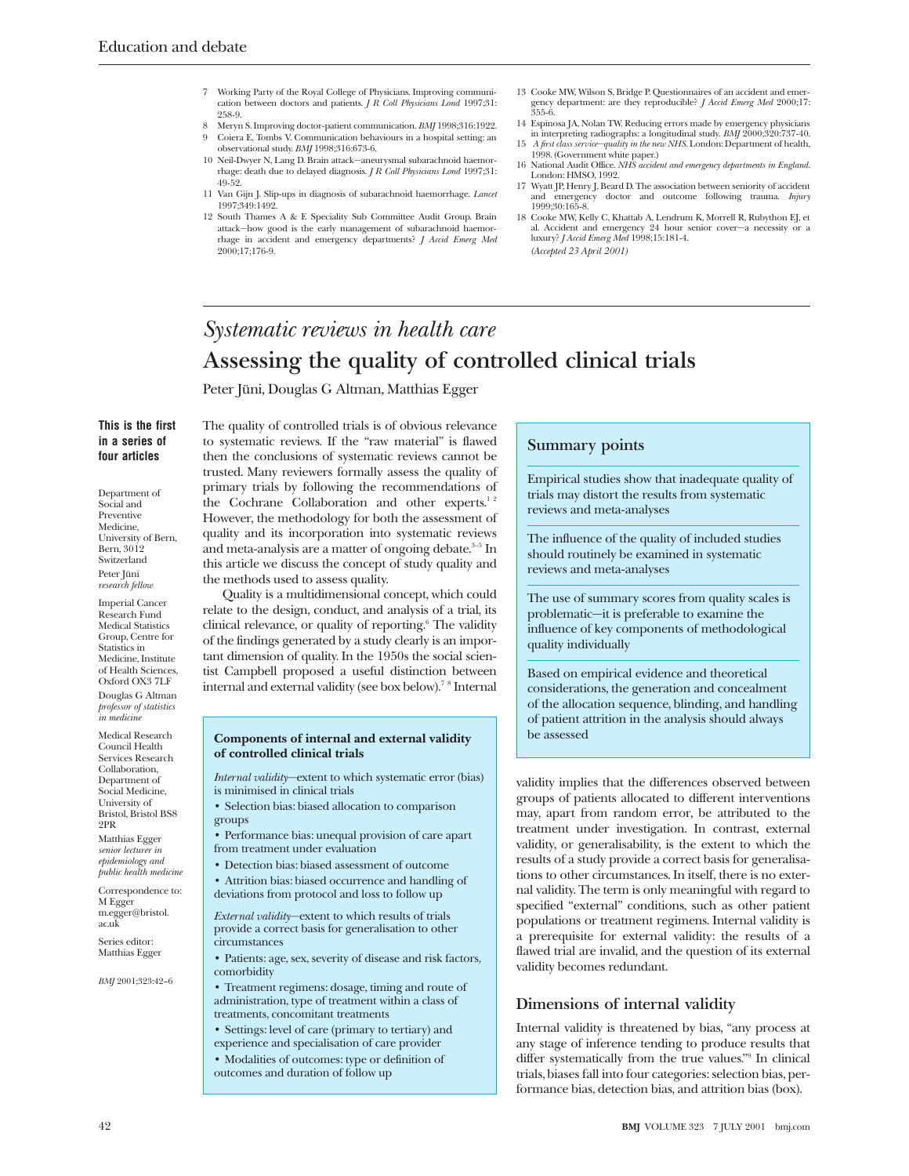- 7 Working Party of the Royal College of Physicians. Improving communication between doctors and patients. *J R Coll Physicians Lond* 1997;31: 258-9.
- 8 Meryn S. Improving doctor-patient communication. *BMJ* 1998;316:1922. 9 Coiera E, Tombs V. Communication behaviours in a hospital setting: an observational study. *BMJ* 1998;316:673-6.
- 10 Neil-Dwyer N, Lang D. Brain attack—aneurysmal subarachnoid haemorrhage: death due to delayed diagnosis. *J R Coll Physicians Lond* 1997;31: 49-52.
- 11 Van Gijn J. Slip-ups in diagnosis of subarachnoid haemorrhage. *Lancet* 1997;349:1492.
- 12 South Thames A & E Speciality Sub Committee Audit Group. Brain attack—how good is the early management of subarachnoid haemorrhage in accident and emergency departments? *J Accid Emerg Med* 2000;17;176-9.
- 13 Cooke MW, Wilson S, Bridge P. Questionnaires of an accident and emer-gency department: are they reproducible? *J Accid Emerg Med* 2000;17: 355-6.
- 14 Espinosa JA, Nolan TW. Reducing errors made by emergency physicians<br>in interpreting radiographs: a longitudinal study. *BMJ* 2000;320:737-40<br>15 A *first class service–quality in the new NHS*. London: Department of healt
- 
- 1998. (Government white paper.) 16 National Audit Office. *NHS accident and emergency departments in England*. London: HMSO, 1992.
- 17 Wyatt JP, Henry J, Beard D. The association between seniority of accident and emergency doctor and outcome following trauma. *Injury* 1999;30:165-8.
- 18 Cooke MW, Kelly C, Khattab A, Lendrum K, Morrell R, Rubython EJ, et al. Accident and emergency 24 hour senior cover—a necessity or a luxury? *J Accid Emerg Med* 1998;15:181-4. *(Accepted 23 April 2001)*

# *Systematic reviews in health care* **Assessing the quality of controlled clinical trials**

Peter Jüni, Douglas G Altman, Matthias Egger

### **This is the first in a series of four articles**

Department of Social and Preventive Medicine, University of Bern, Bern, 3012 Switzerland

Peter Jüni *research fellow*

Imperial Cancer Research Fund Medical Statistics Group, Centre for Statistics in Medicine, Institute of Health Sciences, Oxford OX3 7LF Douglas G Altman *professor of statistics in medicine*

Medical Research Council Health Services Research Collaboration, Department of Social Medicine, University of Bristol, Bristol BS8 2PR

Matthias Egger *senior lecturer in epidemiology and public health medicine*

Correspondence to: M Egger m.egger@bristol. ac.uk

Series editor: Matthias Egger

*BMJ* 2001;323:42–6

The quality of controlled trials is of obvious relevance to systematic reviews. If the "raw material" is flawed then the conclusions of systematic reviews cannot be trusted. Many reviewers formally assess the quality of primary trials by following the recommendations of the Cochrane Collaboration and other experts.<sup>1</sup> However, the methodology for both the assessment of quality and its incorporation into systematic reviews and meta-analysis are a matter of ongoing debate. $3-5$  In this article we discuss the concept of study quality and the methods used to assess quality.

Quality is a multidimensional concept, which could relate to the design, conduct, and analysis of a trial, its clinical relevance, or quality of reporting.<sup>6</sup> The validity of the findings generated by a study clearly is an important dimension of quality. In the 1950s the social scientist Campbell proposed a useful distinction between internal and external validity (see box below).<sup>78</sup> Internal

#### **Components of internal and external validity of controlled clinical trials**

*Internal validity*—extent to which systematic error (bias) is minimised in clinical trials

• Selection bias: biased allocation to comparison groups

• Performance bias: unequal provision of care apart from treatment under evaluation

- Detection bias: biased assessment of outcome
- Attrition bias: biased occurrence and handling of deviations from protocol and loss to follow up

*External validity*—extent to which results of trials provide a correct basis for generalisation to other circumstances

• Patients: age, sex, severity of disease and risk factors, comorbidity

• Treatment regimens: dosage, timing and route of administration, type of treatment within a class of treatments, concomitant treatments

- Settings: level of care (primary to tertiary) and
- experience and specialisation of care provider
- Modalities of outcomes: type or definition of outcomes and duration of follow up

### **Summary points**

Empirical studies show that inadequate quality of trials may distort the results from systematic reviews and meta-analyses

The influence of the quality of included studies should routinely be examined in systematic reviews and meta-analyses

The use of summary scores from quality scales is problematic—it is preferable to examine the influence of key components of methodological quality individually

Based on empirical evidence and theoretical considerations, the generation and concealment of the allocation sequence, blinding, and handling of patient attrition in the analysis should always be assessed

validity implies that the differences observed between groups of patients allocated to different interventions may, apart from random error, be attributed to the treatment under investigation. In contrast, external validity, or generalisability, is the extent to which the results of a study provide a correct basis for generalisations to other circumstances. In itself, there is no external validity. The term is only meaningful with regard to specified "external" conditions, such as other patient populations or treatment regimens. Internal validity is a prerequisite for external validity: the results of a flawed trial are invalid, and the question of its external validity becomes redundant.

# **Dimensions of internal validity**

Internal validity is threatened by bias, "any process at any stage of inference tending to produce results that differ systematically from the true values."9 In clinical trials, biases fall into four categories: selection bias, performance bias, detection bias, and attrition bias (box).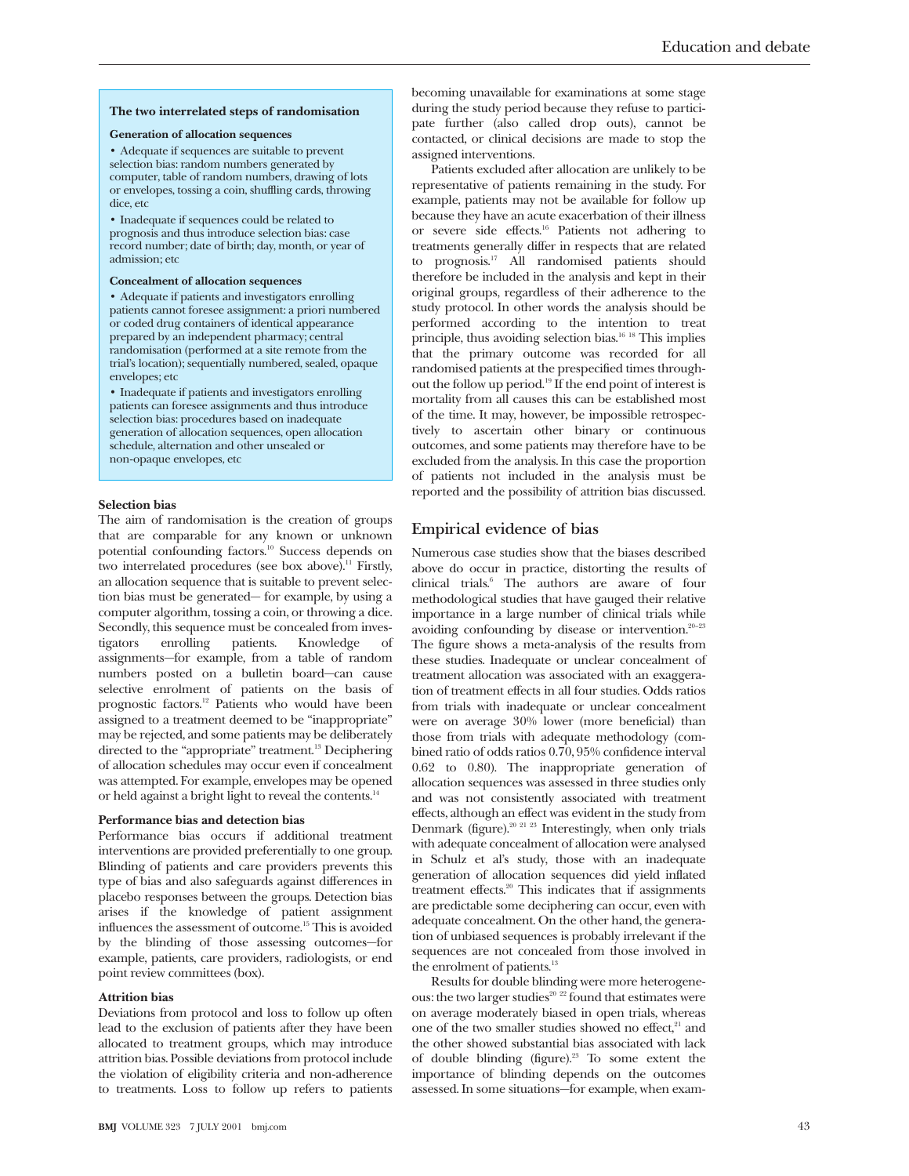#### **The two interrelated steps of randomisation**

#### **Generation of allocation sequences**

• Adequate if sequences are suitable to prevent selection bias: random numbers generated by computer, table of random numbers, drawing of lots or envelopes, tossing a coin, shuffling cards, throwing dice, etc

• Inadequate if sequences could be related to prognosis and thus introduce selection bias: case record number; date of birth; day, month, or year of admission; etc

#### **Concealment of allocation sequences**

• Adequate if patients and investigators enrolling patients cannot foresee assignment: a priori numbered or coded drug containers of identical appearance prepared by an independent pharmacy; central randomisation (performed at a site remote from the trial's location); sequentially numbered, sealed, opaque envelopes; etc

• Inadequate if patients and investigators enrolling patients can foresee assignments and thus introduce selection bias: procedures based on inadequate generation of allocation sequences, open allocation schedule, alternation and other unsealed or non-opaque envelopes, etc

#### **Selection bias**

The aim of randomisation is the creation of groups that are comparable for any known or unknown potential confounding factors. $10$  Success depends on two interrelated procedures (see box above). $11$  Firstly, an allocation sequence that is suitable to prevent selection bias must be generated— for example, by using a computer algorithm, tossing a coin, or throwing a dice. Secondly, this sequence must be concealed from investigators enrolling patients. Knowledge of assignments—for example, from a table of random numbers posted on a bulletin board—can cause selective enrolment of patients on the basis of prognostic factors.<sup>12</sup> Patients who would have been assigned to a treatment deemed to be "inappropriate" may be rejected, and some patients may be deliberately directed to the "appropriate" treatment.<sup>13</sup> Deciphering of allocation schedules may occur even if concealment was attempted. For example, envelopes may be opened or held against a bright light to reveal the contents.<sup>14</sup>

### **Performance bias and detection bias**

Performance bias occurs if additional treatment interventions are provided preferentially to one group. Blinding of patients and care providers prevents this type of bias and also safeguards against differences in placebo responses between the groups. Detection bias arises if the knowledge of patient assignment influences the assessment of outcome.15 This is avoided by the blinding of those assessing outcomes—for example, patients, care providers, radiologists, or end point review committees (box).

#### **Attrition bias**

Deviations from protocol and loss to follow up often lead to the exclusion of patients after they have been allocated to treatment groups, which may introduce attrition bias. Possible deviations from protocol include the violation of eligibility criteria and non-adherence to treatments. Loss to follow up refers to patients

Patients excluded after allocation are unlikely to be representative of patients remaining in the study. For example, patients may not be available for follow up because they have an acute exacerbation of their illness or severe side effects.16 Patients not adhering to treatments generally differ in respects that are related to prognosis.17 All randomised patients should therefore be included in the analysis and kept in their original groups, regardless of their adherence to the study protocol. In other words the analysis should be performed according to the intention to treat principle, thus avoiding selection bias.<sup>16 18</sup> This implies that the primary outcome was recorded for all randomised patients at the prespecified times throughout the follow up period.19 If the end point of interest is mortality from all causes this can be established most of the time. It may, however, be impossible retrospectively to ascertain other binary or continuous outcomes, and some patients may therefore have to be excluded from the analysis. In this case the proportion of patients not included in the analysis must be reported and the possibility of attrition bias discussed.

### **Empirical evidence of bias**

Numerous case studies show that the biases described above do occur in practice, distorting the results of clinical trials.<sup>6</sup> The authors are aware of four methodological studies that have gauged their relative importance in a large number of clinical trials while avoiding confounding by disease or intervention.20–23 The figure shows a meta-analysis of the results from these studies. Inadequate or unclear concealment of treatment allocation was associated with an exaggeration of treatment effects in all four studies. Odds ratios from trials with inadequate or unclear concealment were on average 30% lower (more beneficial) than those from trials with adequate methodology (combined ratio of odds ratios 0.70, 95% confidence interval 0.62 to 0.80). The inappropriate generation of allocation sequences was assessed in three studies only and was not consistently associated with treatment effects, although an effect was evident in the study from Denmark (figure).<sup>20 21 23</sup> Interestingly, when only trials with adequate concealment of allocation were analysed in Schulz et al's study, those with an inadequate generation of allocation sequences did yield inflated treatment effects.20 This indicates that if assignments are predictable some deciphering can occur, even with adequate concealment. On the other hand, the generation of unbiased sequences is probably irrelevant if the sequences are not concealed from those involved in the enrolment of patients.<sup>13</sup>

Results for double blinding were more heterogeneous: the two larger studies<sup>20</sup> <sup>22</sup> found that estimates were on average moderately biased in open trials, whereas one of the two smaller studies showed no effect,<sup>21</sup> and the other showed substantial bias associated with lack of double blinding (figure). $23$  To some extent the importance of blinding depends on the outcomes assessed. In some situations—for example, when exam-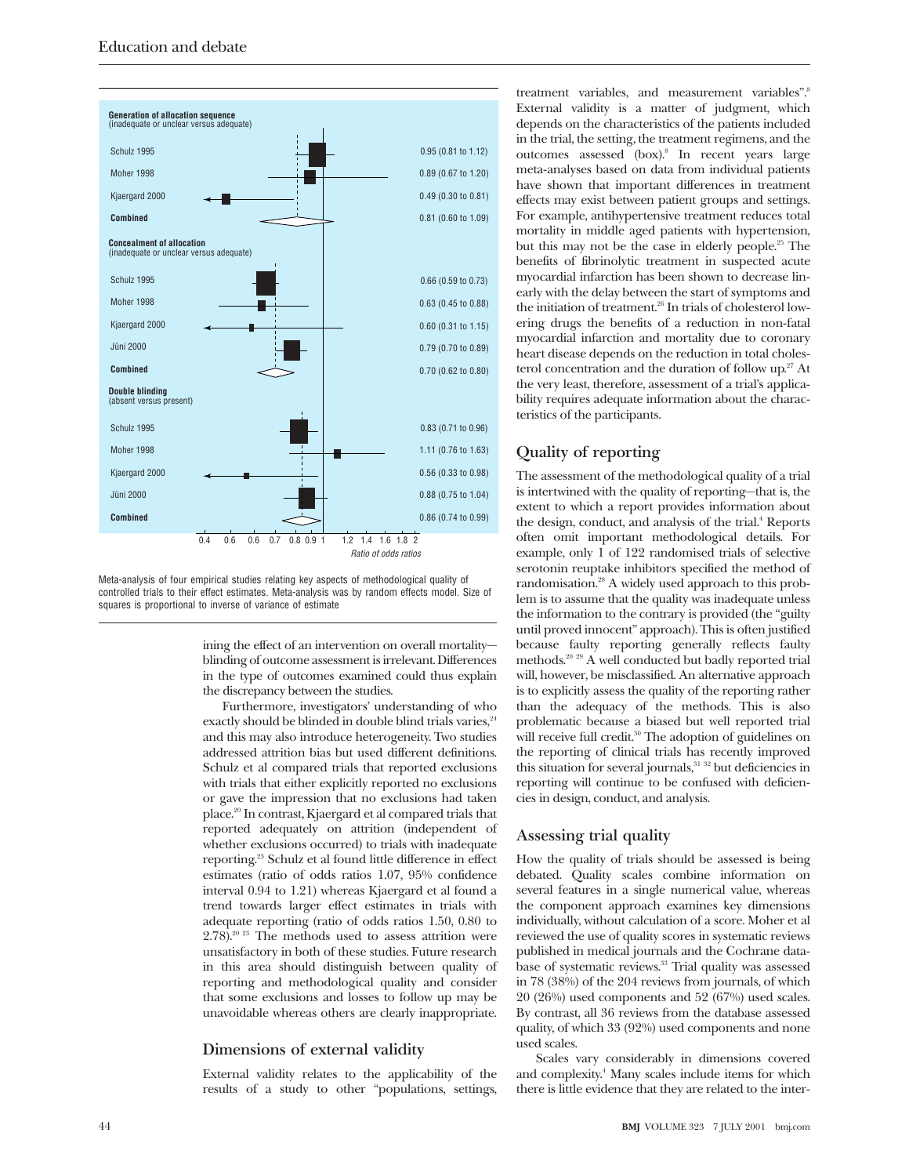

Meta-analysis of four empirical studies relating key aspects of methodological quality of controlled trials to their effect estimates. Meta-analysis was by random effects model. Size of squares is proportional to inverse of variance of estimate

ining the effect of an intervention on overall mortality blinding of outcome assessment is irrelevant. Differences in the type of outcomes examined could thus explain the discrepancy between the studies.

Furthermore, investigators' understanding of who exactly should be blinded in double blind trials varies.<sup>24</sup> and this may also introduce heterogeneity. Two studies addressed attrition bias but used different definitions. Schulz et al compared trials that reported exclusions with trials that either explicitly reported no exclusions or gave the impression that no exclusions had taken place.20 In contrast, Kjaergard et al compared trials that reported adequately on attrition (independent of whether exclusions occurred) to trials with inadequate reporting.23 Schulz et al found little difference in effect estimates (ratio of odds ratios 1.07, 95% confidence interval 0.94 to 1.21) whereas Kjaergard et al found a trend towards larger effect estimates in trials with adequate reporting (ratio of odds ratios 1.50, 0.80 to  $2.78$ .<sup>20 23</sup> The methods used to assess attrition were unsatisfactory in both of these studies. Future research in this area should distinguish between quality of reporting and methodological quality and consider that some exclusions and losses to follow up may be unavoidable whereas others are clearly inappropriate.

# **Dimensions of external validity**

External validity relates to the applicability of the results of a study to other "populations, settings,

treatment variables, and measurement variables".<sup>8</sup> External validity is a matter of judgment, which depends on the characteristics of the patients included in the trial, the setting, the treatment regimens, and the outcomes assessed (box).8 In recent years large meta-analyses based on data from individual patients have shown that important differences in treatment effects may exist between patient groups and settings. For example, antihypertensive treatment reduces total mortality in middle aged patients with hypertension, but this may not be the case in elderly people.<sup>25</sup> The benefits of fibrinolytic treatment in suspected acute myocardial infarction has been shown to decrease linearly with the delay between the start of symptoms and the initiation of treatment.<sup>26</sup> In trials of cholesterol lowering drugs the benefits of a reduction in non-fatal myocardial infarction and mortality due to coronary heart disease depends on the reduction in total cholesterol concentration and the duration of follow up.<sup>27</sup> At the very least, therefore, assessment of a trial's applicability requires adequate information about the characteristics of the participants.

# **Quality of reporting**

The assessment of the methodological quality of a trial is intertwined with the quality of reporting—that is, the extent to which a report provides information about the design, conduct, and analysis of the trial.<sup>4</sup> Reports often omit important methodological details. For example, only 1 of 122 randomised trials of selective serotonin reuptake inhibitors specified the method of randomisation.<sup>28</sup> A widely used approach to this problem is to assume that the quality was inadequate unless the information to the contrary is provided (the "guilty until proved innocent" approach). This is often justified because faulty reporting generally reflects faulty methods.20 29 A well conducted but badly reported trial will, however, be misclassified. An alternative approach is to explicitly assess the quality of the reporting rather than the adequacy of the methods. This is also problematic because a biased but well reported trial will receive full credit.<sup>30</sup> The adoption of guidelines on the reporting of clinical trials has recently improved this situation for several journals,<sup>31 32</sup> but deficiencies in reporting will continue to be confused with deficiencies in design, conduct, and analysis.

# **Assessing trial quality**

How the quality of trials should be assessed is being debated. Quality scales combine information on several features in a single numerical value, whereas the component approach examines key dimensions individually, without calculation of a score. Moher et al reviewed the use of quality scores in systematic reviews published in medical journals and the Cochrane database of systematic reviews.<sup>33</sup> Trial quality was assessed in 78 (38%) of the 204 reviews from journals, of which 20 (26%) used components and 52 (67%) used scales. By contrast, all 36 reviews from the database assessed quality, of which 33 (92%) used components and none used scales.

Scales vary considerably in dimensions covered and complexity.4 Many scales include items for which there is little evidence that they are related to the inter-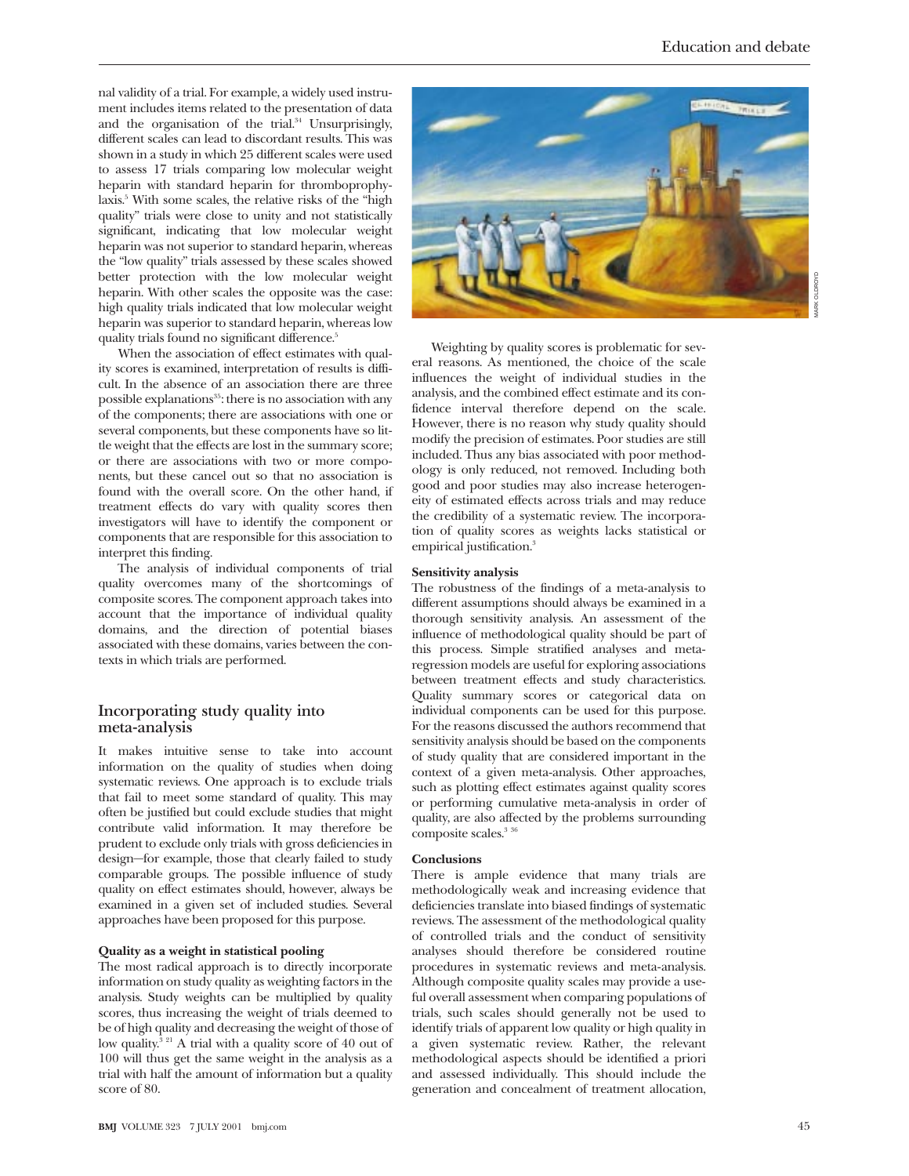MARK OLDROYD

nal validity of a trial. For example, a widely used instrument includes items related to the presentation of data and the organisation of the trial.<sup>34</sup> Unsurprisingly, different scales can lead to discordant results. This was shown in a study in which 25 different scales were used to assess 17 trials comparing low molecular weight heparin with standard heparin for thromboprophylaxis.<sup>5</sup> With some scales, the relative risks of the "high quality" trials were close to unity and not statistically significant, indicating that low molecular weight heparin was not superior to standard heparin, whereas the "low quality" trials assessed by these scales showed better protection with the low molecular weight heparin. With other scales the opposite was the case: high quality trials indicated that low molecular weight heparin was superior to standard heparin, whereas low quality trials found no significant difference.<sup>5</sup>

When the association of effect estimates with quality scores is examined, interpretation of results is difficult. In the absence of an association there are three possible explanations<sup>35</sup>: there is no association with any of the components; there are associations with one or several components, but these components have so little weight that the effects are lost in the summary score; or there are associations with two or more components, but these cancel out so that no association is found with the overall score. On the other hand, if treatment effects do vary with quality scores then investigators will have to identify the component or components that are responsible for this association to interpret this finding.

The analysis of individual components of trial quality overcomes many of the shortcomings of composite scores. The component approach takes into account that the importance of individual quality domains, and the direction of potential biases associated with these domains, varies between the contexts in which trials are performed.

### **Incorporating study quality into meta-analysis**

It makes intuitive sense to take into account information on the quality of studies when doing systematic reviews. One approach is to exclude trials that fail to meet some standard of quality. This may often be justified but could exclude studies that might contribute valid information. It may therefore be prudent to exclude only trials with gross deficiencies in design—for example, those that clearly failed to study comparable groups. The possible influence of study quality on effect estimates should, however, always be examined in a given set of included studies. Several approaches have been proposed for this purpose.

#### **Quality as a weight in statistical pooling**

The most radical approach is to directly incorporate information on study quality as weighting factors in the analysis. Study weights can be multiplied by quality scores, thus increasing the weight of trials deemed to be of high quality and decreasing the weight of those of low quality.<sup>3 21</sup> A trial with a quality score of 40 out of 100 will thus get the same weight in the analysis as a trial with half the amount of information but a quality score of 80.



Weighting by quality scores is problematic for several reasons. As mentioned, the choice of the scale influences the weight of individual studies in the analysis, and the combined effect estimate and its confidence interval therefore depend on the scale. However, there is no reason why study quality should modify the precision of estimates. Poor studies are still included. Thus any bias associated with poor methodology is only reduced, not removed. Including both good and poor studies may also increase heterogeneity of estimated effects across trials and may reduce the credibility of a systematic review. The incorporation of quality scores as weights lacks statistical or empirical justification.<sup>3</sup>

#### **Sensitivity analysis**

The robustness of the findings of a meta-analysis to different assumptions should always be examined in a thorough sensitivity analysis. An assessment of the influence of methodological quality should be part of this process. Simple stratified analyses and metaregression models are useful for exploring associations between treatment effects and study characteristics. Quality summary scores or categorical data on individual components can be used for this purpose. For the reasons discussed the authors recommend that sensitivity analysis should be based on the components of study quality that are considered important in the context of a given meta-analysis. Other approaches, such as plotting effect estimates against quality scores or performing cumulative meta-analysis in order of quality, are also affected by the problems surrounding composite scales.<sup>3 36</sup>

#### **Conclusions**

There is ample evidence that many trials are methodologically weak and increasing evidence that deficiencies translate into biased findings of systematic reviews. The assessment of the methodological quality of controlled trials and the conduct of sensitivity analyses should therefore be considered routine procedures in systematic reviews and meta-analysis. Although composite quality scales may provide a useful overall assessment when comparing populations of trials, such scales should generally not be used to identify trials of apparent low quality or high quality in a given systematic review. Rather, the relevant methodological aspects should be identified a priori and assessed individually. This should include the generation and concealment of treatment allocation,